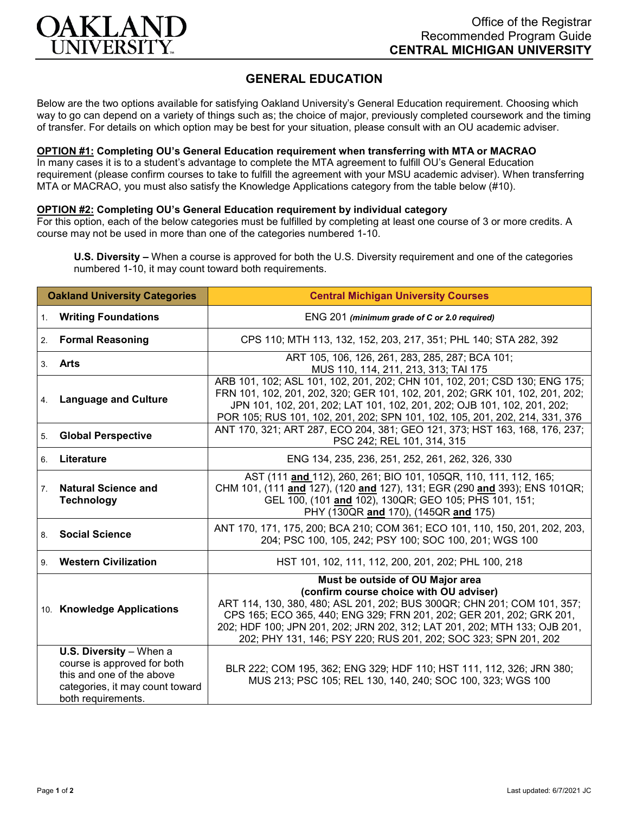

## **GENERAL EDUCATION**

Below are the two options available for satisfying Oakland University's General Education requirement. Choosing which way to go can depend on a variety of things such as; the choice of major, previously completed coursework and the timing of transfer. For details on which option may be best for your situation, please consult with an OU academic adviser.

## **OPTION #1: Completing OU's General Education requirement when transferring with MTA or MACRAO**

In many cases it is to a student's advantage to complete the MTA agreement to fulfill OU's General Education requirement (please confirm courses to take to fulfill the agreement with your MSU academic adviser). When transferring MTA or MACRAO, you must also satisfy the Knowledge Applications category from the table below (#10).

## **OPTION #2: Completing OU's General Education requirement by individual category**

For this option, each of the below categories must be fulfilled by completing at least one course of 3 or more credits. A course may not be used in more than one of the categories numbered 1-10.

**U.S. Diversity –** When a course is approved for both the U.S. Diversity requirement and one of the categories numbered 1-10, it may count toward both requirements.

| <b>Oakland University Categories</b> |                                                                                                                                                       | <b>Central Michigan University Courses</b>                                                                                                                                                                                                                                                                                                                                     |
|--------------------------------------|-------------------------------------------------------------------------------------------------------------------------------------------------------|--------------------------------------------------------------------------------------------------------------------------------------------------------------------------------------------------------------------------------------------------------------------------------------------------------------------------------------------------------------------------------|
| 1.                                   | <b>Writing Foundations</b>                                                                                                                            | ENG 201 (minimum grade of C or 2.0 required)                                                                                                                                                                                                                                                                                                                                   |
| 2.                                   | <b>Formal Reasoning</b>                                                                                                                               | CPS 110; MTH 113, 132, 152, 203, 217, 351; PHL 140; STA 282, 392                                                                                                                                                                                                                                                                                                               |
| 3 <sub>1</sub>                       | Arts                                                                                                                                                  | ART 105, 106, 126, 261, 283, 285, 287; BCA 101;<br>MUS 110, 114, 211, 213, 313; TAI 175                                                                                                                                                                                                                                                                                        |
| 4.                                   | <b>Language and Culture</b>                                                                                                                           | ARB 101, 102; ASL 101, 102, 201, 202; CHN 101, 102, 201; CSD 130; ENG 175;<br>FRN 101, 102, 201, 202, 320; GER 101, 102, 201, 202; GRK 101, 102, 201, 202;<br>JPN 101, 102, 201, 202; LAT 101, 102, 201, 202; OJB 101, 102, 201, 202;<br>POR 105; RUS 101, 102, 201, 202; SPN 101, 102, 105, 201, 202, 214, 331, 376                                                           |
| 5.                                   | <b>Global Perspective</b>                                                                                                                             | ANT 170, 321; ART 287, ECO 204, 381; GEO 121, 373; HST 163, 168, 176, 237;<br>PSC 242; REL 101, 314, 315                                                                                                                                                                                                                                                                       |
| 6.                                   | Literature                                                                                                                                            | ENG 134, 235, 236, 251, 252, 261, 262, 326, 330                                                                                                                                                                                                                                                                                                                                |
| 7 <sup>1</sup>                       | <b>Natural Science and</b><br><b>Technology</b>                                                                                                       | AST (111 and 112), 260, 261; BIO 101, 105QR, 110, 111, 112, 165;<br>CHM 101, (111 and 127), (120 and 127), 131; EGR (290 and 393); ENS 101QR;<br>GEL 100, (101 and 102), 130QR; GEO 105; PHS 101, 151;<br>PHY (130QR and 170), (145QR and 175)                                                                                                                                 |
| 8.                                   | <b>Social Science</b>                                                                                                                                 | ANT 170, 171, 175, 200; BCA 210; COM 361; ECO 101, 110, 150, 201, 202, 203,<br>204; PSC 100, 105, 242; PSY 100; SOC 100, 201; WGS 100                                                                                                                                                                                                                                          |
| 9.                                   | <b>Western Civilization</b>                                                                                                                           | HST 101, 102, 111, 112, 200, 201, 202; PHL 100, 218                                                                                                                                                                                                                                                                                                                            |
|                                      | 10. Knowledge Applications                                                                                                                            | Must be outside of OU Major area<br>(confirm course choice with OU adviser)<br>ART 114, 130, 380, 480; ASL 201, 202; BUS 300QR; CHN 201; COM 101, 357;<br>CPS 165; ECO 365, 440; ENG 329; FRN 201, 202; GER 201, 202; GRK 201,<br>202; HDF 100; JPN 201, 202; JRN 202, 312; LAT 201, 202; MTH 133; OJB 201,<br>202; PHY 131, 146; PSY 220; RUS 201, 202; SOC 323; SPN 201, 202 |
|                                      | <b>U.S. Diversity</b> $-$ When a<br>course is approved for both<br>this and one of the above<br>categories, it may count toward<br>both requirements. | BLR 222; COM 195, 362; ENG 329; HDF 110; HST 111, 112, 326; JRN 380;<br>MUS 213; PSC 105; REL 130, 140, 240; SOC 100, 323; WGS 100                                                                                                                                                                                                                                             |